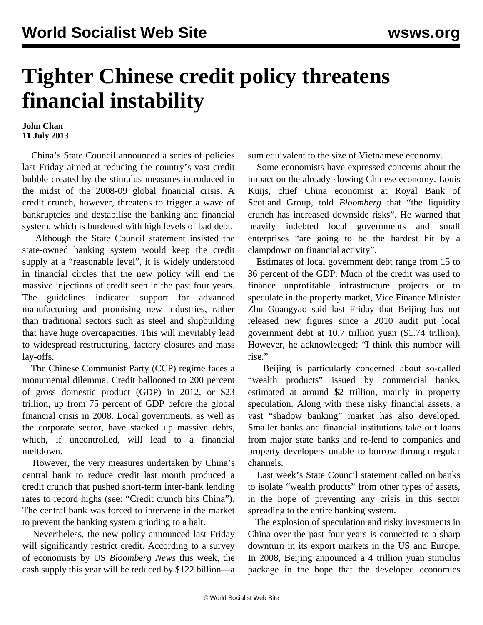## **Tighter Chinese credit policy threatens financial instability**

## **John Chan 11 July 2013**

 China's State Council announced a series of policies last Friday aimed at reducing the country's vast credit bubble created by the stimulus measures introduced in the midst of the 2008-09 global financial crisis. A credit crunch, however, threatens to trigger a wave of bankruptcies and destabilise the banking and financial system, which is burdened with high levels of bad debt.

 Although the State Council statement insisted the state-owned banking system would keep the credit supply at a "reasonable level", it is widely understood in financial circles that the new policy will end the massive injections of credit seen in the past four years. The guidelines indicated support for advanced manufacturing and promising new industries, rather than traditional sectors such as steel and shipbuilding that have huge overcapacities. This will inevitably lead to widespread restructuring, factory closures and mass lay-offs.

 The Chinese Communist Party (CCP) regime faces a monumental dilemma. Credit ballooned to 200 percent of gross domestic product (GDP) in 2012, or \$23 trillion, up from 75 percent of GDP before the global financial crisis in 2008. Local governments, as well as the corporate sector, have stacked up massive debts, which, if uncontrolled, will lead to a financial meltdown.

 However, the very measures undertaken by China's central bank to reduce credit last month produced a credit crunch that pushed short-term inter-bank lending rates to record highs (see: "[Credit crunch hits China](/en/articles/2013/06/22/chin-j22.html)"). The central bank was forced to intervene in the market to prevent the banking system grinding to a halt.

 Nevertheless, the new policy announced last Friday will significantly restrict credit. According to a survey of economists by US *Bloomberg News* this week, the cash supply this year will be reduced by \$122 billion—a sum equivalent to the size of Vietnamese economy.

 Some economists have expressed concerns about the impact on the already slowing Chinese economy. Louis Kuijs, chief China economist at Royal Bank of Scotland Group, told *Bloomberg* that "the liquidity crunch has increased downside risks". He warned that heavily indebted local governments and small enterprises "are going to be the hardest hit by a clampdown on financial activity".

 Estimates of local government debt range from 15 to 36 percent of the GDP. Much of the credit was used to finance unprofitable infrastructure projects or to speculate in the property market, Vice Finance Minister Zhu Guangyao said last Friday that Beijing has not released new figures since a 2010 audit put local government debt at 10.7 trillion yuan (\$1.74 trillion). However, he acknowledged: "I think this number will rise."

 Beijing is particularly concerned about so-called "wealth products" issued by commercial banks, estimated at around \$2 trillion, mainly in property speculation. Along with these risky financial assets, a vast "shadow banking" market has also developed. Smaller banks and financial institutions take out loans from major state banks and re-lend to companies and property developers unable to borrow through regular channels.

 Last week's State Council statement called on banks to isolate "wealth products" from other types of assets, in the hope of preventing any crisis in this sector spreading to the entire banking system.

 The explosion of speculation and risky investments in China over the past four years is connected to a sharp downturn in its export markets in the US and Europe. In 2008, Beijing announced a 4 trillion yuan stimulus package in the hope that the developed economies